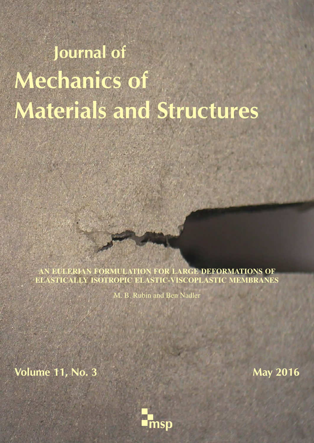# Journal of Mechanics of Materials and Structures

AN EULERIAN FORMULATION FOR LARGE DEFORMATIONS OF ELASTICALLY ISOTROPIC ELASTIC-VISCOPLASTIC MEMBRANES

M. B. Rubin and Ben Nadler

**Volume 11, No. 3** May 2016

and the man on the company

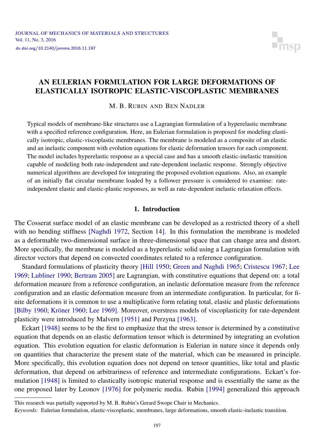

### <span id="page-1-0"></span>AN EULERIAN FORMULATION FOR LARGE DEFORMATIONS OF ELASTICALLY ISOTROPIC ELASTIC-VISCOPLASTIC MEMBRANES

M. B. RUBIN AND BEN NADLER

Typical models of membrane-like structures use a Lagrangian formulation of a hyperelastic membrane with a specified reference configuration. Here, an Eulerian formulation is proposed for modeling elastically isotropic, elastic-viscoplastic membranes. The membrane is modeled as a composite of an elastic and an inelastic component with evolution equations for elastic deformation tensors for each component. The model includes hyperelastic response as a special case and has a smooth elastic-inelastic transition capable of modeling both rate-independent and rate-dependent inelastic response. Strongly objective numerical algorithms are developed for integrating the proposed evolution equations. Also, an example of an initially flat circular membrane loaded by a follower pressure is considered to examine: rateindependent elastic and elastic-plastic responses, as well as rate-dependent inelastic relaxation effects.

#### 1. Introduction

The Cosserat surface model of an elastic membrane can be developed as a restricted theory of a shell with no bending stiffness [\[Naghdi 1972,](#page-19-0) Section 14]. In this formulation the membrane is modeled as a deformable two-dimensional surface in three-dimensional space that can change area and distort. More specifically, the membrane is modeled as a hyperelastic solid using a Lagrangian formulation with director vectors that depend on convected coordinates related to a reference configuration.

Standard formulations of plasticity theory [\[Hill 1950;](#page-19-1) [Green and Naghdi 1965;](#page-19-2) [Cristescu 1967;](#page-19-3) [Lee](#page-19-4) [1969;](#page-19-4) [Lubliner 1990;](#page-19-5) [Bertram 2005\]](#page-18-0) are Lagrangian, with constitutive equations that depend on: a total deformation measure from a reference configuration, an inelastic deformation measure from the reference configuration and an elastic deformation measure from an intermediate configuration. In particular, for finite deformations it is common to use a multiplicative form relating total, elastic and plastic deformations [\[Bilby 1960;](#page-18-1) [Kröner 1960;](#page-19-6) [Lee 1969\]](#page-19-4). Moreover, overstress models of viscoplasticity for rate-dependent plasticity were introduced by [Malvern](#page-19-7) [1951] and [Perzyna](#page-19-8) [1963].

Eckart [\[1948\]](#page-19-9) seems to be the first to emphasize that the stress tensor is determined by a constitutive equation that depends on an elastic deformation tensor which is determined by integrating an evolution equation. This evolution equation for elastic deformation is Eulerian in nature since it depends only on quantities that characterize the present state of the material, which can be measured in principle. More specifically, this evolution equation does not depend on tensor quantities, like total and plastic deformation, that depend on arbitrariness of reference and intermediate configurations. Eckart's formulation [\[1948\]](#page-19-9) is limited to elastically isotropic material response and is essentially the same as the one proposed later by [Leonov](#page-19-10) [1976] for polymeric media. [Rubin](#page-19-11) [1994] generalized this approach

This research was partially supported by M. B. Rubin's Gerard Swope Chair in Mechanics.

*Keywords:* Eulerian formulation, elastic-viscoplastic, membranes, large deformations, smooth elastic-inelastic transition.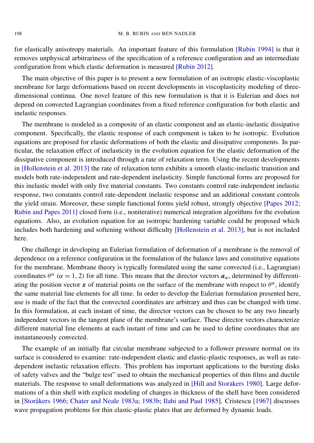for elastically anisotropy materials. An important feature of this formulation [\[Rubin 1994\]](#page-19-11) is that it removes unphysical arbitrariness of the specification of a reference configuration and an intermediate configuration from which elastic deformation is measured [\[Rubin 2012\]](#page-19-12).

The main objective of this paper is to present a new formulation of an isotropic elastic-viscoplastic membrane for large deformations based on recent developments in viscoplasticity modeling of threedimensional continua. One novel feature of this new formulation is that it is Eulerian and does not depend on convected Lagrangian coordinates from a fixed reference configuration for both elastic and inelastic responses.

The membrane is modeled as a composite of an elastic component and an elastic-inelastic dissipative component. Specifically, the elastic response of each component is taken to be isotropic. Evolution equations are proposed for elastic deformations of both the elastic and dissipative components. In particular, the relaxation effect of inelasticity in the evolution equation for the elastic deformation of the dissipative component is introduced through a rate of relaxation term. Using the recent developments in [\[Hollenstein et al. 2013\]](#page-19-13) the rate of relaxation term exhibits a smooth elastic-inelastic transition and models both rate-independent and rate-dependent inelasticity. Simple functional forms are proposed for this inelastic model with only five material constants. Two constants control rate-independent inelastic response, two constants control rate-dependent inelastic response and an additional constant controls the yield strain. Moreover, these simple functional forms yield robust, strongly objective [\[Papes 2012;](#page-19-14) [Rubin and Papes 2011\]](#page-19-15) closed form (i.e., noniterative) numerical integration algorithms for the evolution equations. Also, an evolution equation for an isotropic hardening variable could be proposed which includes both hardening and softening without difficulty [\[Hollenstein et al. 2013\]](#page-19-13), but is not included here.

One challenge in developing an Eulerian formulation of deformation of a membrane is the removal of dependence on a reference configuration in the formulation of the balance laws and constitutive equations for the membrane. Membrane theory is typically formulated using the same convected (i.e., Lagrangian) coordinates  $\theta^{\alpha}$  ( $\alpha = 1, 2$ ) for all time. This means that the director vectors  $a_{\alpha}$ , determined by differentiating the position vector *x* of material points on the surface of the membrane with respect to  $\theta^{\alpha}$ , identify the same material line elements for all time. In order to develop the Eulerian formulation presented here, use is made of the fact that the convected coordinates are arbitrary and thus can be changed with time. In this formulation, at each instant of time, the director vectors can be chosen to be any two linearly independent vectors in the tangent plane of the membrane's surface. These director vectors characterize different material line elements at each instant of time and can be used to define coordinates that are instantaneously convected.

The example of an initially flat circular membrane subjected to a follower pressure normal on its surface is considered to examine: rate-independent elastic and elastic-plastic responses, as well as ratedependent inelastic relaxation effects. This problem has important applications to the bursting disks of safety valves and the "bulge test" used to obtain the mechanical properties of thin films and ductile materials. The response to small deformations was analyzed in [\[Hill and Storakers 1980](#page-19-16)]. Large deformations of a thin shell with explicit modeling of changes in thickness of the shell have been considered in [\[Storåkers 1966;](#page-19-17) [Chater and Neale 1983a;](#page-18-2) [1983b;](#page-18-3) [Ilahi and Paul 1985\]](#page-19-18). [Cristescu](#page-19-3) [1967] discusses wave propagation problems for thin elastic-plastic plates that are deformed by dynamic loads.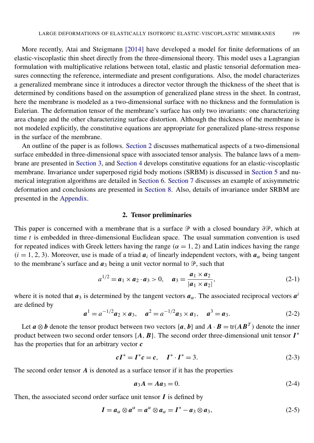More recently, [Atai and Steigmann](#page-18-4) [2014] have developed a model for finite deformations of an elastic-viscoplastic thin sheet directly from the three-dimensional theory. This model uses a Lagrangian formulation with multiplicative relations between total, elastic and plastic tensorial deformation measures connecting the reference, intermediate and present configurations. Also, the model characterizes a generalized membrane since it introduces a director vector through the thickness of the sheet that is determined by conditions based on the assumption of generalized plane stress in the sheet. In contrast, here the membrane is modeled as a two-dimensional surface with no thickness and the formulation is Eulerian. The deformation tensor of the membrane's surface has only two invariants: one characterizing area change and the other characterizing surface distortion. Although the thickness of the membrane is not modeled explicitly, the constitutive equations are appropriate for generalized plane-stress response in the surface of the membrane.

An outline of the paper is as follows. [Section 2](#page-3-0) discusses mathematical aspects of a two-dimensional surface embedded in three-dimensional space with associated tensor analysis. The balance laws of a membrane are presented in [Section 3,](#page-4-0) and [Section 4](#page-6-0) develops constitutive equations for an elastic-viscoplastic membrane. Invariance under superposed rigid body motions (SRBM) is discussed in [Section 5](#page-10-0) and numerical integration algorithms are detailed in [Section 6.](#page-11-0) [Section 7](#page-14-0) discusses an example of axisymmetric deformation and conclusions are presented in [Section 8.](#page-17-0) Also, details of invariance under SRBM are presented in the [Appendix.](#page-17-1)

#### <span id="page-3-1"></span>2. Tensor preliminaries

<span id="page-3-0"></span>This paper is concerned with a membrane that is a surface  $\mathcal P$  with a closed boundary ∂ $\mathcal P$ , which at time *t* is embedded in three-dimensional Euclidean space. The usual summation convention is used for repeated indices with Greek letters having the range ( $\alpha = 1, 2$ ) and Latin indices having the range  $(i = 1, 2, 3)$ . Moreover, use is made of a triad  $a_i$  of linearly independent vectors, with  $a_\alpha$  being tangent to the membrane's surface and  $a_3$  being a unit vector normal to  $\mathcal{P}$ , such that

$$
a^{1/2} = a_1 \times a_2 \cdot a_3 > 0, \quad a_3 = \frac{a_1 \times a_2}{|a_1 \times a_2|}, \tag{2-1}
$$

where it is noted that  $a_3$  is determined by the tangent vectors  $a_\alpha$ . The associated reciprocal vectors  $a^i$ are defined by

<span id="page-3-2"></span>
$$
a1 = a-1/2a2 × a3, \t a2 = a-1/2a3 × a1, \t a3 = a3.
$$
 (2-2)

Let  $a \otimes b$  denote the tensor product between two vectors  $\{a, b\}$  and  $A \cdot B = \text{tr}(AB^T)$  denote the inner product between two second order tensors  $\{A, B\}$ . The second order three-dimensional unit tensor  $I^*$ has the properties that for an arbitrary vector *c*

$$
cI^* = I^*c = c, \quad I^* \cdot I^* = 3. \tag{2-3}
$$

The second order tensor *A* is denoted as a surface tensor if it has the properties

<span id="page-3-3"></span>
$$
a_3A = A a_3 = 0. \t(2-4)
$$

Then, the associated second order surface unit tensor *I* is defined by

$$
I = a_{\alpha} \otimes a^{\alpha} = a^{\alpha} \otimes a_{\alpha} = I^* - a_3 \otimes a_3, \qquad (2-5)
$$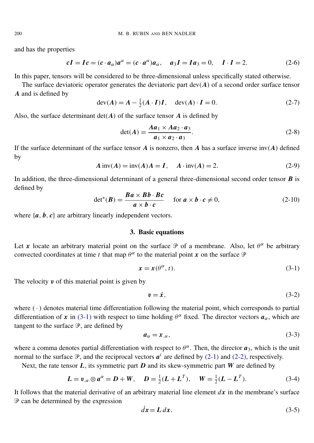and has the properties

<span id="page-4-3"></span><span id="page-4-2"></span>
$$
cI = Ic = (c \cdot a_{\alpha})a^{\alpha} = (c \cdot a^{\alpha})a_{\alpha}, \quad a_3I = Ia_3 = 0, \quad I \cdot I = 2. \tag{2-6}
$$

In this paper, tensors will be considered to be three-dimensional unless specifically stated otherwise.

The surface deviatoric operator generates the deviatoric part  $dev(A)$  of a second order surface tensor *A* and is defined by

$$
\operatorname{dev}(A) = A - \frac{1}{2}(A \cdot I)I, \quad \operatorname{dev}(A) \cdot I = 0. \tag{2-7}
$$

Also, the surface determinant  $det(A)$  of the surface tensor  $A$  is defined by

$$
\det(A) = \frac{Aa_1 \times Aa_2 \cdot a_3}{a_1 \times a_2 \cdot a_3}.
$$
 (2-8)

If the surface determinant of the surface tensor *A* is nonzero, then *A* has a surface inverse inv(*A*) defined by

$$
A \text{ inv}(A) = \text{inv}(A)A = I, \quad A \cdot \text{inv}(A) = 2.
$$
 (2-9)

In addition, the three-dimensional determinant of a general three-dimensional second order tensor *B* is defined by

$$
\det^*(B) = \frac{Ba \times Bb \cdot Bc}{a \times b \cdot c} \quad \text{for } a \times b \cdot c \neq 0,
$$
 (2-10)

<span id="page-4-0"></span>where  $\{a, b, c\}$  are arbitrary linearly independent vectors.

#### 3. Basic equations

Let x locate an arbitrary material point on the surface  $\mathcal P$  of a membrane. Also, let  $\theta^{\alpha}$  be arbitrary convected coordinates at time *t* that map  $\theta^{\alpha}$  to the material point *x* on the surface  $\mathcal{P}$ 

$$
\mathbf{x} = \mathbf{x}(\theta^{\alpha}, t). \tag{3-1}
$$

The velocity  $v$  of this material point is given by

<span id="page-4-1"></span>
$$
v = \dot{x},\tag{3-2}
$$

where  $(\cdot)$  denotes material time differentiation following the material point, which corresponds to partial differentiation of x in [\(3-1\)](#page-4-1) with respect to time holding  $\theta^{\alpha}$  fixed. The director vectors  $a_{\alpha}$ , which are tangent to the surface  $\mathcal{P}$ , are defined by

<span id="page-4-4"></span>
$$
a_{\alpha} = x_{,\alpha},\tag{3-3}
$$

where a comma denotes partial differentiation with respect to  $\theta^{\alpha}$ . Then, the director  $a_3$ , which is the unit normal to the surface  $\mathcal{P}$ , and the reciprocal vectors  $a^i$  are defined by [\(2-1\)](#page-3-1) and [\(2-2\),](#page-3-2) respectively.

Next, the rate tensor *L*, its symmetric part *D* and its skew-symmetric part *W* are defined by

$$
L = v_{,\alpha} \otimes a^{\alpha} = D + W, \quad D = \frac{1}{2}(L + L^{T}), \quad W = \frac{1}{2}(L - L^{T}).
$$
 (3-4)

It follows that the material derivative of an arbitrary material line element *dx* in the membrane's surface  $P$  can be determined by the expression

$$
dx = L dx.
$$
 (3-5)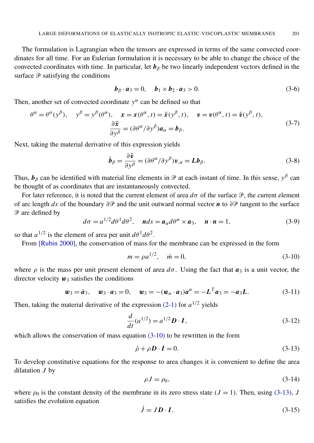The formulation is Lagrangian when the tensors are expressed in terms of the same convected coordinates for all time. For an Eulerian formulation it is necessary to be able to change the choice of the convected coordinates with time. In particular, let  $b_\beta$  be two linearly independent vectors defined in the surface  $\mathcal P$  satisfying the conditions

$$
\boldsymbol{b}_{\beta} \cdot \boldsymbol{a}_3 = 0, \quad \boldsymbol{b}_1 \times \boldsymbol{b}_2 \cdot \boldsymbol{a}_3 > 0. \tag{3-6}
$$

Then, another set of convected coordinate  $y^{\alpha}$  can be defined so that

$$
\theta^{\alpha} = \theta^{\alpha}(y^{\beta}), \quad y^{\beta} = y^{\beta}(\theta^{\alpha}), \quad \mathbf{x} = \mathbf{x}(\theta^{\alpha}, t) = \tilde{\mathbf{x}}(y^{\beta}, t), \quad \mathbf{v} = \mathbf{v}(\theta^{\alpha}, t) = \tilde{\mathbf{v}}(y^{\beta}, t), \frac{\partial \tilde{\mathbf{x}}}{\partial y^{\beta}} = (\partial \theta^{\alpha}/\partial y^{\beta})\mathbf{a}_{\alpha} = \mathbf{b}_{\beta}.
$$
\n(3-7)

Next, taking the material derivative of this expression yields

$$
\dot{\boldsymbol{b}}_{\beta} = \frac{\partial \tilde{\boldsymbol{v}}}{\partial y^{\beta}} = (\partial \theta^{\alpha}/\partial y^{\beta}) \boldsymbol{v}_{,\alpha} = \boldsymbol{L} \boldsymbol{b}_{\beta}.
$$
 (3-8)

Thus,  $b_\beta$  can be identified with material line elements in  $\mathcal P$  at each instant of time. In this sense,  $y^\beta$  can be thought of as coordinates that are instantaneously convected.

For later reference, it is noted that the current element of area *d*σ of the surface P, the current element of arc length *ds* of the boundary ∂P and the unit outward normal vector *n* to ∂P tangent to the surface  $\mathcal P$  are defined by

$$
d\sigma = a^{1/2} d\theta^1 d\theta^2, \quad nds = a_\alpha d\theta^\alpha \times a_3, \quad n \cdot n = 1,
$$
 (3-9)

so that  $a^{1/2}$  is the element of area per unit  $d\theta$ <sup>1</sup> $d\theta$ <sup>2</sup>.

From [\[Rubin 2000\]](#page-19-19), the conservation of mass for the membrane can be expressed in the form

<span id="page-5-3"></span><span id="page-5-0"></span>
$$
m = \rho a^{1/2}, \quad \dot{m} = 0,\tag{3-10}
$$

where  $\rho$  is the mass per unit present element of area  $d\sigma$ . Using the fact that  $\mathbf{a}_3$  is a unit vector, the director velocity  $w_3$  satisfies the conditions

$$
\mathbf{w}_3 = \dot{\mathbf{a}}_3, \quad \mathbf{w}_3 \cdot \mathbf{a}_3 = 0, \quad \mathbf{w}_3 = -(\mathbf{w}_\alpha \cdot \mathbf{a}_3)\mathbf{a}^\alpha = -\mathbf{L}^T \mathbf{a}_3 = -\mathbf{a}_3 \mathbf{L}.
$$
 (3-11)

Then, taking the material derivative of the expression  $(2-1)$  for  $a^{1/2}$  yields

$$
\frac{d}{dt}(a^{1/2}) = a^{1/2}D \cdot I,\tag{3-12}
$$

which allows the conservation of mass equation  $(3-10)$  to be rewritten in the form

<span id="page-5-1"></span>
$$
\dot{\rho} + \rho \mathbf{D} \cdot \mathbf{I} = 0. \tag{3-13}
$$

<span id="page-5-4"></span>To develop constitutive equations for the response to area changes it is convenient to define the area dilatation *J* by

$$
\rho J = \rho_0,\tag{3-14}
$$

where  $\rho_0$  is the constant density of the membrane in its zero stress state ( $J = 1$ ). Then, using [\(3-13\),](#page-5-1) *J* satisfies the evolution equation

<span id="page-5-2"></span>
$$
\dot{J} = J \mathbf{D} \cdot \mathbf{I}.\tag{3-15}
$$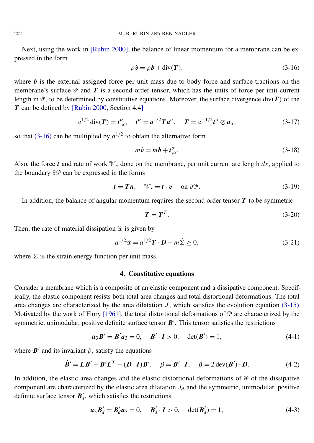<span id="page-6-1"></span>Next, using the work in [\[Rubin 2000\]](#page-19-19), the balance of linear momentum for a membrane can be expressed in the form

<span id="page-6-7"></span>
$$
\rho \dot{\mathbf{v}} = \rho \mathbf{b} + \text{div}(\mathbf{T}),\tag{3-16}
$$

where  **is the external assigned force per unit mass due to body force and surface tractions on the** membrane's surface  $P$  and  $T$  is a second order tensor, which has the units of force per unit current length in  $\mathcal{P}$ , to be determined by constitutive equations. Moreover, the surface divergence div(*T*) of the *T* can be defined by [\[Rubin 2000,](#page-19-19) Section 4.4]

$$
a^{1/2} \operatorname{div}(\boldsymbol{T}) = \boldsymbol{t}_{,\alpha}^{\alpha}, \quad \boldsymbol{t}^{\alpha} = a^{1/2} \boldsymbol{T} \boldsymbol{a}^{\alpha}, \quad \boldsymbol{T} = a^{-1/2} \boldsymbol{t}^{\alpha} \otimes \boldsymbol{a}_{\alpha}, \tag{3-17}
$$

so that  $(3-16)$  can be multiplied by  $a^{1/2}$  to obtain the alternative form

<span id="page-6-6"></span>
$$
m\dot{v} = mb + t^{\alpha}_{,\alpha}.
$$
 (3-18)

Also, the force *t* and rate of work  $W_s$  done on the membrane, per unit current arc length *ds*, applied to the boundary  $\partial \mathcal{P}$  can be expressed in the forms

$$
t = Tn, \quad \mathcal{W}_s = t \cdot v \quad \text{on } \partial \mathcal{P}.
$$
 (3-19)

In addition, the balance of angular momentum requires the second order tensor *T* to be symmetric

<span id="page-6-5"></span>
$$
T = TT.
$$
 (3-20)

Then, the rate of material dissipation  $\mathcal{D}$  is given by

$$
a^{1/2}\mathcal{D} = a^{1/2}\mathbf{T} \cdot \mathbf{D} - m\dot{\Sigma} \ge 0,
$$
\n(3-21)

<span id="page-6-0"></span>where  $\Sigma$  is the strain energy function per unit mass.

#### <span id="page-6-3"></span>4. Constitutive equations

Consider a membrane which is a composite of an elastic component and a dissipative component. Specifically, the elastic component resists both total area changes and total distortional deformations. The total area changes are characterized by the area dilatation *J*, which satisfies the evolution equation [\(3-15\).](#page-5-2) Motivated by the work of Flory [\[1961\]](#page-19-20), the total distortional deformations of  $\mathcal P$  are characterized by the symmetric, unimodular, positive definite surface tensor  $B'$ . This tensor satisfies the restrictions

<span id="page-6-2"></span>
$$
a_3B' = B'a_3 = 0, \quad B' \cdot I > 0, \quad \det(B') = 1,
$$
\n(4-1)

where  $\mathbf{B}'$  and its invariant  $\beta$ , satisfy the equations

$$
\dot{B}' = LB' + B'LT - (D \cdot I)B', \quad \beta = B' \cdot I, \quad \dot{\beta} = 2 \operatorname{dev}(B') \cdot D. \tag{4-2}
$$

In addition, the elastic area changes and the elastic distortional deformations of  $\mathcal P$  of the dissipative component are characterized by the elastic area dilatation  $J_d$  and the symmetric, unimodular, positive definite surface tensor  $B_d$  $d'$ , which satisfies the restrictions

<span id="page-6-4"></span>
$$
a_3 B'_d = B'_d a_3 = 0, \quad B'_d \cdot I > 0, \quad \det(B'_d) = 1,
$$
 (4-3)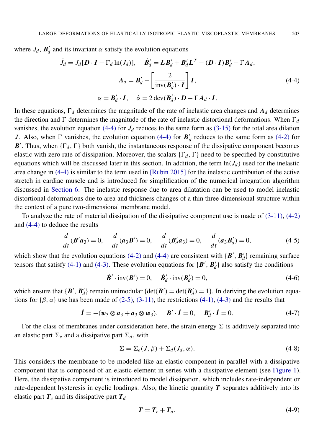where  $J_d$ ,  $B'_d$  $d$ <sup> $d$ </sup> and its invariant α satisfy the evolution equations

<span id="page-7-0"></span>
$$
\dot{J}_d = J_d[D \cdot I - \Gamma_d \ln(J_d)], \quad \dot{B}'_d = L B'_d + B'_d L^T - (D \cdot I) B'_d - \Gamma A_d,
$$
  

$$
A_d = B'_d - \left[ \frac{2}{\text{inv}(B'_d) \cdot I} \right] I,
$$
  

$$
\alpha = B'_d \cdot I, \quad \dot{\alpha} = 2 \text{ dev}(B'_d) \cdot D - \Gamma A_d \cdot I.
$$
 (4-4)

In these equations,  $\Gamma_d$  determines the magnitude of the rate of inelastic area changes and  $A_d$  determines the direction and  $\Gamma$  determines the magnitude of the rate of inelastic distortional deformations. When  $\Gamma_d$ vanishes, the evolution equation [\(4-4\)](#page-7-0) for  $J_d$  reduces to the same form as [\(3-15\)](#page-5-2) for the total area dilation *J*. Also, when  $\Gamma$  vanishes, the evolution equation [\(4-4\)](#page-7-0) for  $\mathbf{B}'$  $d$ <sup> $d$ </sup> reduces to the same form as  $(4-2)$  for B<sup>'</sup>. Thus, when  $\{\Gamma_d, \Gamma\}$  both vanish, the instantaneous response of the dissipative component becomes elastic with zero rate of dissipation. Moreover, the scalars  $\{\Gamma_d, \Gamma\}$  need to be specified by constitutive equations which will be discussed later in this section. In addition, the term  $\ln(J_d)$  used for the inelastic area change in [\(4-4\)](#page-7-0) is similar to the term used in [\[Rubin 2015\]](#page-19-21) for the inelastic contribution of the active stretch in cardiac muscle and is introduced for simplification of the numerical integration algorithm discussed in [Section 6.](#page-11-0) The inelastic response due to area dilatation can be used to model inelastic distortional deformations due to area and thickness changes of a thin three-dimensional structure within the context of a pure two-dimensional membrane model.

To analyze the rate of material dissipation of the dissipative component use is made of [\(3-11\),](#page-5-3) [\(4-2\)](#page-6-2) and [\(4-4\)](#page-7-0) to deduce the results

<span id="page-7-1"></span>
$$
\frac{d}{dt}(\mathbf{B}'\mathbf{a}_3) = 0, \quad \frac{d}{dt}(\mathbf{a}_3\mathbf{B}') = 0, \quad \frac{d}{dt}(\mathbf{B}'_d\mathbf{a}_3) = 0, \quad \frac{d}{dt}(\mathbf{a}_3\mathbf{B}'_d) = 0,\tag{4-5}
$$

which show that the evolution equations [\(4-2\)](#page-6-2) and [\(4-4\)](#page-7-0) are consistent with  $\{B', B_d\}$  $\binom{d}{d}$  remaining surface tensors that satisfy [\(4-1\)](#page-6-3) and [\(4-3\).](#page-6-4) These evolution equations for  $\{B', B'_{d}\}$  $\mathcal{A}_d$ } also satisfy the conditions

$$
\dot{\boldsymbol{B}}' \cdot \text{inv}(\boldsymbol{B}') = 0, \quad \dot{\boldsymbol{B}}'_d \cdot \text{inv}(\boldsymbol{B}'_d) = 0,\tag{4-6}
$$

which ensure that  $\{B', B'_d\}$  $d_d$ } remain unimodular {det(*B*<sup>'</sup>) = det(*B*<sup>'</sup><sub>d</sub>  $d'$ <sub>*d*</sub>) = 1}. In deriving the evolution equations for  $\{\beta, \alpha\}$  use has been made of [\(2-5\),](#page-3-3) [\(3-11\),](#page-5-3) the restrictions [\(4-1\),](#page-6-3) [\(4-3\)](#page-6-4) and the results that

$$
\dot{\boldsymbol{I}} = -(\boldsymbol{w}_3 \otimes \boldsymbol{a}_3 + \boldsymbol{a}_3 \otimes \boldsymbol{w}_3), \quad \boldsymbol{B}' \cdot \dot{\boldsymbol{I}} = 0, \quad \boldsymbol{B}'_d \cdot \dot{\boldsymbol{I}} = 0.
$$
 (4-7)

For the class of membranes under consideration here, the strain energy  $\Sigma$  is additively separated into an elastic part  $\Sigma_e$  and a dissipative part  $\Sigma_d$ , with

$$
\Sigma = \Sigma_e(J, \beta) + \Sigma_d(J_d, \alpha). \tag{4-8}
$$

This considers the membrane to be modeled like an elastic component in parallel with a dissipative component that is composed of an elastic element in series with a dissipative element (see [Figure 1\)](#page-8-0). Here, the dissipative component is introduced to model dissipation, which includes rate-independent or rate-dependent hysteresis in cyclic loadings. Also, the kinetic quantity *T* separates additively into its elastic part  $T_e$  and its dissipative part  $T_d$ 

$$
T = T_e + T_d. \tag{4-9}
$$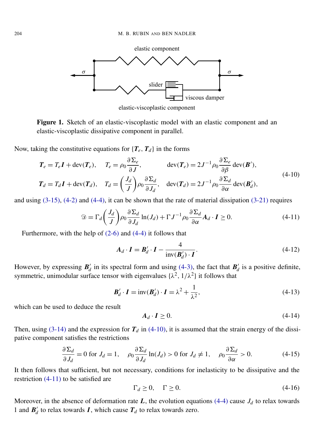<span id="page-8-0"></span>

<span id="page-8-1"></span>elastic-viscoplastic component

Figure 1. Sketch of an elastic-viscoplastic model with an elastic component and an elastic-viscoplastic dissipative component in parallel.

Now, taking the constitutive equations for  ${T_e, T_d}$  in the forms

$$
T_e = T_e \mathbf{I} + \text{dev}(T_e), \quad T_e = \rho_0 \frac{\partial \Sigma_e}{\partial J}, \quad \text{dev}(T_e) = 2J^{-1} \rho_0 \frac{\partial \Sigma_e}{\partial \beta} \text{dev}(\mathbf{B}'),
$$
  
\n
$$
T_d = T_d \mathbf{I} + \text{dev}(T_d), \quad T_d = \left(\frac{J_d}{J}\right) \rho_0 \frac{\partial \Sigma_d}{\partial J_d}, \quad \text{dev}(T_d) = 2J^{-1} \rho_0 \frac{\partial \Sigma_d}{\partial \alpha} \text{dev}(\mathbf{B}'_d),
$$
\n(4-10)

and using  $(3-15)$ ,  $(4-2)$  and  $(4-4)$ , it can be shown that the rate of material dissipation  $(3-21)$  requires

$$
\mathcal{D} = \Gamma_d \left( \frac{J_d}{J} \right) \rho_0 \frac{\partial \Sigma_d}{\partial J_d} \ln(J_d) + \Gamma J^{-1} \rho_0 \frac{\partial \Sigma_d}{\partial \alpha} A_d \cdot I \ge 0. \tag{4-11}
$$

Furthermore, with the help of [\(2-6\)](#page-4-2) and [\(4-4\)](#page-7-0) it follows that

<span id="page-8-2"></span>
$$
A_d \cdot \boldsymbol{I} = \boldsymbol{B}'_d \cdot \boldsymbol{I} - \frac{4}{\text{inv}(\boldsymbol{B}'_d) \cdot \boldsymbol{I}}.
$$
 (4-12)

However, by expressing  $B_d$  $d'$  in its spectral form and using [\(4-3\),](#page-6-4) the fact that  $B'_d$  $a'$  is a positive definite, symmetric, unimodular surface tensor with eigenvalues  $\{\lambda^2, 1/\lambda^2\}$  it follows that

$$
\mathbf{B}'_d \cdot \mathbf{I} = \text{inv}(\mathbf{B}'_d) \cdot \mathbf{I} = \lambda^2 + \frac{1}{\lambda^2},\tag{4-13}
$$

which can be used to deduce the result

<span id="page-8-3"></span>
$$
A_d \cdot I \ge 0. \tag{4-14}
$$

Then, using  $(3-14)$  and the expression for  $T<sub>d</sub>$  in  $(4-10)$ , it is assumed that the strain energy of the dissipative component satisfies the restrictions

$$
\frac{\partial \Sigma_d}{\partial J_d} = 0 \text{ for } J_d = 1, \quad \rho_0 \frac{\partial \Sigma_d}{\partial J_d} \ln(J_d) > 0 \text{ for } J_d \neq 1, \quad \rho_0 \frac{\partial \Sigma_d}{\partial \alpha} > 0. \tag{4-15}
$$

It then follows that sufficient, but not necessary, conditions for inelasticity to be dissipative and the restriction [\(4-11\)](#page-8-2) to be satisfied are

$$
\Gamma_d \ge 0, \quad \Gamma \ge 0. \tag{4-16}
$$

Moreover, in the absence of deformation rate  $L$ , the evolution equations [\(4-4\)](#page-7-0) cause  $J_d$  to relax towards 1 and  $\mathbf{B}'_d$  $d'$  to relax towards *I*, which cause  $T_d$  to relax towards zero.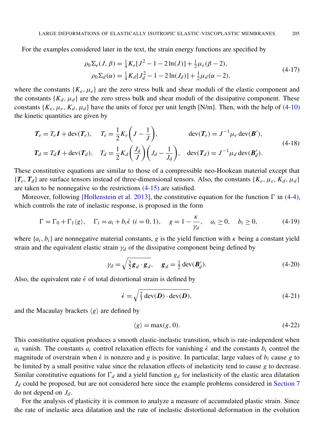For the examples considered later in the text, the strain energy functions are specified by

<span id="page-9-4"></span><span id="page-9-3"></span>
$$
\rho_0 \Sigma_e(J, \beta) = \frac{1}{4} K_e [J^2 - 1 - 2 \ln(J)] + \frac{1}{2} \mu_e (\beta - 2),
$$
  
\n
$$
\rho_0 \Sigma_d(\alpha) = \frac{1}{4} K_d [J_d^2 - 1 - 2 \ln(J_d)] + \frac{1}{2} \mu_d (\alpha - 2),
$$
\n(4-17)

where the constants  ${K_e, \mu_e}$  are the zero stress bulk and shear moduli of the elastic component and the constants  ${K_d, \mu_d}$  are the zero stress bulk and shear moduli of the dissipative component. These constants  $\{K_e, \mu_e, K_d, \mu_d\}$  have the units of force per unit length [N/m]. Then, with the help of [\(4-10\)](#page-8-1) the kinetic quantities are given by

$$
T_e = T_e \mathbf{I} + \text{dev}(\mathbf{T}_e), \quad T_e = \frac{1}{2} K_e \left( J - \frac{1}{J} \right), \quad \text{dev}(\mathbf{T}_e) = J^{-1} \mu_e \text{ dev}(\mathbf{B}'),
$$
  
\n
$$
T_d = T_d \mathbf{I} + \text{dev}(\mathbf{T}_d), \quad T_d = \frac{1}{2} K_d \left( \frac{J_d}{J} \right) \left( J_d - \frac{1}{J_d} \right), \quad \text{dev}(\mathbf{T}_d) = J^{-1} \mu_d \text{ dev}(\mathbf{B}'_d).
$$
\n(4-18)

These constitutive equations are similar to those of a compressible neo-Hookean material except that  ${T_e, T_d}$  are surface tensors instead of three-dimensional tensors. Also, the constants  ${K_e, \mu_e, K_d, \mu_d}$ are taken to be nonnegative so the restrictions [\(4-15\)](#page-8-3) are satisfied.

Moreover, following [\[Hollenstein et al. 2013\]](#page-19-13), the constitutive equation for the function  $\Gamma$  in [\(4-4\),](#page-7-0) which controls the rate of inelastic response, is proposed in the form

$$
\Gamma = \Gamma_0 + \Gamma_1 \langle g \rangle, \quad \Gamma_i = a_i + b_i \dot{\epsilon} \ (i = 0, 1), \quad g = 1 - \frac{\kappa}{\gamma_d}, \quad a_i \ge 0, \quad b_i \ge 0,
$$
 (4-19)

where  ${a_i, b_i}$  are nonnegative material constants, g is the yield function with  $\kappa$  being a constant yield strain and the equivalent elastic strain  $\gamma_d$  of the dissipative component being defined by

<span id="page-9-2"></span>
$$
\gamma_d = \sqrt{\frac{3}{2} \mathbf{g}_d \cdot \mathbf{g}_d}, \quad \mathbf{g}_d = \frac{1}{2} \operatorname{dev}(\mathbf{B}'_d). \tag{4-20}
$$

Also, the equivalent rate  $\dot{\epsilon}$  of total distortional strain is defined by

<span id="page-9-1"></span><span id="page-9-0"></span>
$$
\dot{\epsilon} = \sqrt{\frac{2}{3} \operatorname{dev}(\boldsymbol{D}) \cdot \operatorname{dev}(\boldsymbol{D})},\tag{4-21}
$$

and the Macaulay brackets  $\langle g \rangle$  are defined by

$$
\langle g \rangle = \max(g, 0). \tag{4-22}
$$

This constitutive equation produces a smooth elastic-inelastic transition, which is rate-independent when *a<sub>i</sub>* vanish. The constants *a<sub>i</sub>* control relaxation effects for vanishing  $\epsilon$  and the constants *b<sub>i</sub>* control the magnitude of overstrain when  $\dot{\epsilon}$  is nonzero and *g* is positive. In particular, large values of  $b_i$  cause *g* to be limited by a small positive value since the relaxation effects of inelasticity tend to cause *g* to decrease. Similar constitutive equations for  $\Gamma_d$  and a yield function  $g_d$  for inelasticity of the elastic area dilatation  $J_d$  could be proposed, but are not considered here since the example problems considered in [Section 7](#page-14-0) do not depend on  $J_d$ .

For the analysis of plasticity it is common to analyze a measure of accumulated plastic strain. Since the rate of inelastic area dilatation and the rate of inelastic distortional deformation in the evolution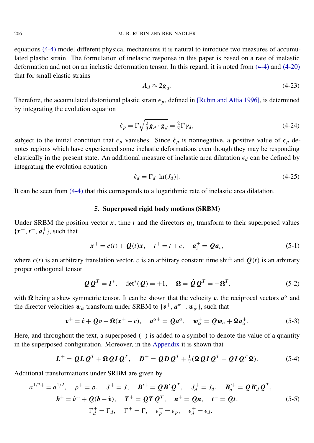equations [\(4-4\)](#page-7-0) model different physical mechanisms it is natural to introduce two measures of accumulated plastic strain. The formulation of inelastic response in this paper is based on a rate of inelastic deformation and not on an inelastic deformation tensor. In this regard, it is noted from [\(4-4\)](#page-7-0) and [\(4-20\)](#page-9-0) that for small elastic strains

$$
A_d \approx 2g_d. \tag{4-23}
$$

Therefore, the accumulated distortional plastic strain  $\epsilon_p$ , defined in [\[Rubin and Attia 1996\]](#page-19-22), is determined by integrating the evolution equation

<span id="page-10-1"></span>
$$
\dot{\epsilon}_p = \Gamma \sqrt{\frac{2}{3} \mathbf{g}_d \cdot \mathbf{g}_d} = \frac{2}{3} \Gamma \gamma_d, \qquad (4-24)
$$

subject to the initial condition that  $\epsilon_p$  vanishes. Since  $\dot{\epsilon}_p$  is nonnegative, a positive value of  $\epsilon_p$  denotes regions which have experienced some inelastic deformations even though they may be responding elastically in the present state. An additional measure of inelastic area dilatation  $\epsilon_d$  can be defined by integrating the evolution equation

<span id="page-10-2"></span>
$$
\dot{\epsilon}_d = \Gamma_d |\ln(J_d)|. \tag{4-25}
$$

<span id="page-10-0"></span>It can be seen from [\(4-4\)](#page-7-0) that this corresponds to a logarithmic rate of inelastic area dilatation.

#### 5. Superposed rigid body motions (SRBM)

Under SRBM the position vector  $x$ , time  $t$  and the directors  $a_i$ , transform to their superposed values  ${x^+, t^+, a_i^+}$  $i<sup>+</sup>$ }, such that

<span id="page-10-3"></span>
$$
x^{+} = c(t) + Q(t)x, \quad t^{+} = t + c, \quad a_{i}^{+} = Qa_{i}, \tag{5-1}
$$

where  $c(t)$  is an arbitrary translation vector, *c* is an arbitrary constant time shift and  $Q(t)$  is an arbitrary proper orthogonal tensor

<span id="page-10-6"></span><span id="page-10-5"></span><span id="page-10-4"></span>
$$
Q Q^T = I^*, \quad \det^*(Q) = +1, \quad \Omega = \dot{Q} Q^T = -\Omega^T, \tag{5-2}
$$

with  $\Omega$  being a skew symmetric tensor. It can be shown that the velocity v, the reciprocal vectors  $a^{\alpha}$  and the director velocities  $w_{\alpha}$  transform under SRBM to  $\{v^+, a^{\alpha +}, w_{\alpha}^+\}$ , such that

$$
\boldsymbol{v}^+ = \dot{\boldsymbol{c}} + \boldsymbol{Q}\boldsymbol{v} + \boldsymbol{\Omega}(\boldsymbol{x}^+ - \boldsymbol{c}), \quad \boldsymbol{a}^{\alpha+} = \boldsymbol{Q}\boldsymbol{a}^{\alpha}, \quad \boldsymbol{w}^+_{\alpha} = \boldsymbol{Q}\boldsymbol{w}_{\alpha} + \boldsymbol{\Omega}\boldsymbol{a}^+_{\alpha}.
$$

Here, and throughout the text, a superposed  $(+)$  is added to a symbol to denote the value of a quantity in the superposed configuration. Moreover, in the [Appendix](#page-17-1) it is shown that

<span id="page-10-7"></span>
$$
L^{+} = QLQ^{T} + \Omega QIQ^{T}, \quad D^{+} = QDQ^{T} + \frac{1}{2}(\Omega QIQ^{T} - QIQ^{T}\Omega).
$$
 (5-4)

Additional transformations under SRBM are given by

$$
a^{1/2+} = a^{1/2}, \quad \rho^+ = \rho, \quad J^+ = J, \quad B'^+ = QB'Q^T, \quad J_d^+ = J_d, \quad B_d'^+ = QB'_dQ^T,
$$
  

$$
b^+ = \dot{v}^+ + Q(b - \dot{v}), \quad T^+ = QTQ^T, \quad n^+ = Qn, \quad t^+ = Qt,
$$
  

$$
\Gamma_d^+ = \Gamma_d, \quad \Gamma^+ = \Gamma, \quad \epsilon_p^+ = \epsilon_p, \quad \epsilon_d^+ = \epsilon_d.
$$
 (5-5)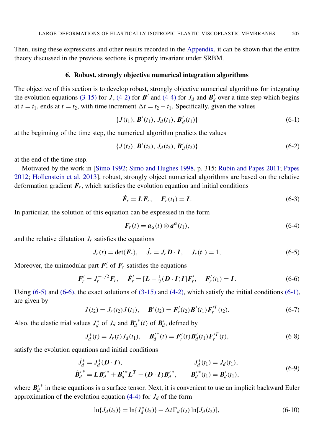Then, using these expressions and other results recorded in the [Appendix,](#page-17-1) it can be shown that the entire theory discussed in the previous sections is properly invariant under SRBM.

#### 6. Robust, strongly objective numerical integration algorithms

<span id="page-11-0"></span>The objective of this section is to develop robust, strongly objective numerical algorithms for integrating the evolution equations [\(3-15\)](#page-5-2) for *J*, [\(4-2\)](#page-6-2) for *B'* and [\(4-4\)](#page-7-0) for *J<sub>d</sub>* and *B'*<sup>*d*</sup><sup>*d*</sup>  $d'$  over a time step which begins at  $t = t_1$ , ends at  $t = t_2$ , with time increment  $\Delta t = t_2 - t_1$ . Specifically, given the values

<span id="page-11-3"></span>
$$
\{J(t_1), \, \mathbf{B}'(t_1), \, J_d(t_1), \, \mathbf{B}'_d(t_1)\} \tag{6-1}
$$

at the beginning of the time step, the numerical algorithm predicts the values

$$
\{J(t_2), \, \mathbf{B}'(t_2), \, J_d(t_2), \, \mathbf{B}'_d(t_2)\}\tag{6-2}
$$

at the end of the time step.

Motivated by the work in [\[Simo 1992;](#page-19-23) [Simo and Hughes 1998,](#page-19-24) p. 315; [Rubin and Papes 2011;](#page-19-15) [Papes](#page-19-14) [2012;](#page-19-14) [Hollenstein et al. 2013\]](#page-19-13), robust, strongly object numerical algorithms are based on the relative deformation gradient *F<sup>r</sup>* , which satisfies the evolution equation and initial conditions

$$
\dot{F}_r = LF_r, \quad F_r(t_1) = I. \tag{6-3}
$$

In particular, the solution of this equation can be expressed in the form

<span id="page-11-2"></span><span id="page-11-1"></span>
$$
\boldsymbol{F}_r(t) = \boldsymbol{a}_{\alpha}(t) \otimes \boldsymbol{a}^{\alpha}(t_1), \qquad (6-4)
$$

and the relative dilatation  $J_r$  satisfies the equations

$$
J_r(t) = \det(F_r), \quad \dot{J}_r = J_r D \cdot I, \quad J_r(t_1) = 1,
$$
 (6-5)

Moreover, the unimodular part  $F'_{r}$  $r'$  of  $F_r$  satisfies the equations

<span id="page-11-4"></span>
$$
\mathbf{F}'_r = J_r^{-1/2} \mathbf{F}_r, \quad \dot{\mathbf{F}}'_r = [\mathbf{L} - \frac{1}{2} (\mathbf{D} \cdot \mathbf{I}) \mathbf{I}] \mathbf{F}'_r, \quad \mathbf{F}'_r(t_1) = \mathbf{I}.
$$
 (6-6)

Using  $(6-5)$  and  $(6-6)$ , the exact solutions of  $(3-15)$  and  $(4-2)$ , which satisfy the initial conditions  $(6-1)$ , are given by

$$
J(t_2) = J_r(t_2)J(t_1), \quad \mathbf{B}'(t_2) = \mathbf{F}'_r(t_2)\mathbf{B}'(t_1)\mathbf{F}'_r(t_2).
$$
 (6-7)

Also, the elastic trial values  $J_d^*$  $\mathbf{d}$ <sup>\*</sup> of  $J_d$  and  $\mathbf{B}'_d$ *d* <sup>\*</sup>(*t*) of  $B_d'$  $d$ <sup> $d$ </sup>, defined by

<span id="page-11-5"></span>
$$
J_d^*(t) = J_r(t)J_d(t_1), \quad \boldsymbol{B_d'}^*(t) = \boldsymbol{F_r'}(t)\boldsymbol{B_d'}(t_1)\boldsymbol{F_r'}^T(t), \tag{6-8}
$$

satisfy the evolution equations and initial conditions

$$
\dot{J}_d^* = J_d^*(D \cdot I), \qquad J_d^*(t_1) = J_d(t_1), \n\dot{B}_d'^* = L B_d'^* + B_d'^* L^T - (D \cdot I) B_d'^*, \qquad B_d'^*(t_1) = B_d'(t_1),
$$
\n(6-9)

where  $B'_{a}$ *d* ∗ in these equations is a surface tensor. Next, it is convenient to use an implicit backward Euler approximation of the evolution equation  $(4-4)$  for  $J_d$  of the form

$$
\ln\{J_d(t_2)\} = \ln\{J_d^*(t_2)\} - \Delta t \Gamma_d(t_2) \ln[J_d(t_2)],
$$
\n(6-10)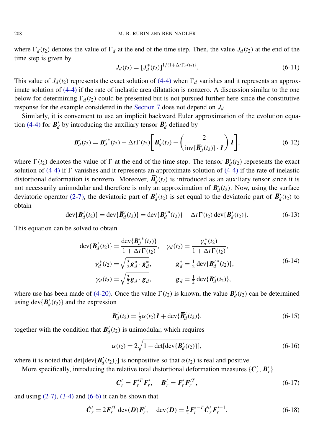where  $\Gamma_d(t_2)$  denotes the value of  $\Gamma_d$  at the end of the time step. Then, the value  $J_d(t_2)$  at the end of the time step is given by

<span id="page-12-3"></span><span id="page-12-1"></span>
$$
J_d(t_2) = [J_d^*(t_2)]^{1/(1 + \Delta t \Gamma_d(t_2))}.
$$
\n(6-11)

This value of  $J_d(t_2)$  represents the exact solution of [\(4-4\)](#page-7-0) when  $\Gamma_d$  vanishes and it represents an approximate solution of [\(4-4\)](#page-7-0) if the rate of inelastic area dilatation is nonzero. A discussion similar to the one below for determining  $\Gamma_d(t_2)$  could be presented but is not pursued further here since the constitutive response for the example considered in the [Section 7](#page-14-0) does not depend on *J<sup>d</sup>* .

Similarly, it is convenient to use an implicit backward Euler approximation of the evolution equa-tion [\(4-4\)](#page-7-0) for  $\mathbf{B}'_d$  $d'$  by introducing the auxiliary tensor  $\vec{B}'_d$  $b'_d$  defined by

$$
\overline{\boldsymbol{B}}'_d(t_2) = {\boldsymbol{B}}'_d{}^*(t_2) - \Delta t \Gamma(t_2) \left[ \overline{\boldsymbol{B}}'_d(t_2) - \left( \frac{2}{\text{inv}[\overline{\boldsymbol{B}}'_d(t_2)] \cdot \boldsymbol{I}} \right) \boldsymbol{I} \right],\tag{6-12}
$$

where  $\Gamma(t_2)$  denotes the value of  $\Gamma$  at the end of the time step. The tensor  $\bar{B}'_d$  $d'$ <sup> $d$ </sup>( $t_2$ ) represents the exact solution of [\(4-4\)](#page-7-0) if  $\Gamma$  vanishes and it represents an approximate solution of (4-4) if the rate of inelastic distortional deformation is nonzero. Moreover,  $\vec{B}_d$  $d_{d}(t_2)$  is introduced as an auxiliary tensor since it is not necessarily unimodular and therefore is only an approximation of  $B_d$  $d(t_2)$ . Now, using the surface deviatoric operator [\(2-7\),](#page-4-3) the deviatoric part of  $B_d$  $d'$ (*t*<sub>2</sub>) is set equal to the deviatoric part of  $\vec{B}'_d$  $d'(t_2)$  to obtain

$$
\operatorname{dev}\{\boldsymbol{B}'_d(t_2)\} = \operatorname{dev}\{\boldsymbol{\bar{B}}'_d(t_2)\} = \operatorname{dev}\{\boldsymbol{B}'_d^*(t_2)\} - \Delta t \Gamma(t_2) \operatorname{dev}\{\boldsymbol{B}'_d(t_2)\}.
$$
 (6-13)

This equation can be solved to obtain

<span id="page-12-0"></span>
$$
\begin{aligned}\n\text{dev}\{\mathbf{B}'_d(t_2)\} &= \frac{\text{dev}\{\mathbf{B}'_d^*(t_2)\}}{1 + \Delta t \Gamma(t_2)}, & \gamma_d(t_2) &= \frac{\gamma_d^*(t_2)}{1 + \Delta t \Gamma(t_2)}, \\
\gamma_d^*(t_2) &= \sqrt{\frac{3}{2}} \mathbf{g}_d^* \cdot \mathbf{g}_d^*, & \mathbf{g}_d^* &= \frac{1}{2} \text{ dev}\{\mathbf{B}'_d^*(t_2)\}, \\
\gamma_d(t_2) &= \sqrt{\frac{3}{2}} \mathbf{g}_d \cdot \mathbf{g}_d, & \mathbf{g}_d &= \frac{1}{2} \text{ dev}\{\mathbf{B}'_d(t_2)\},\n\end{aligned}\n\tag{6-14}
$$

where use has been made of [\(4-20\).](#page-9-0) Once the value  $\Gamma(t_2)$  is known, the value  $B_d$  $d_{d}(t_2)$  can be determined using dev $\{B_d\}$  $d_d(t_2)$ } and the expression

<span id="page-12-2"></span>
$$
\mathbf{B}'_d(t_2) = \frac{1}{2}\alpha(t_2)\mathbf{I} + \text{dev}\{\overline{\mathbf{B}}'_d(t_2)\},\tag{6-15}
$$

together with the condition that  $B_d$  $d_d(t_2)$  is unimodular, which requires

$$
\alpha(t_2) = 2\sqrt{1 - \det[\det\{B_d'(t_2)\}]}.
$$
\n(6-16)

where it is noted that det[dev ${B'_d}$  $d_d'(t_2)$ } is nonpositive so that  $\alpha(t_2)$  is real and positive.

More specifically, introducing the relative total distortional deformation measures  ${C}'$  $'_{r}$ ,  $B'_{r}$ *r* }

$$
C'_{r} = F'^{T}_{r} F'_{r}, \quad B'_{r} = F'_{r} F'^{T}_{r}, \tag{6-17}
$$

and using  $(2-7)$ ,  $(3-4)$  and  $(6-6)$  it can be shown that

$$
\dot{C}'_r = 2F'_r{}^T \operatorname{dev}(D)F'_r, \quad \operatorname{dev}(D) = \frac{1}{2}F'_r{}^{-T} \dot{C}'_r F'_r{}^{-1}.
$$
 (6-18)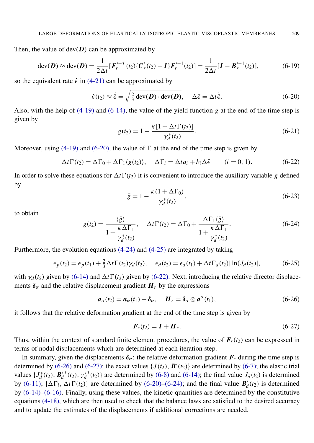Then, the value of  $dev(D)$  can be approximated by

$$
\operatorname{dev}(\boldsymbol{D}) \approx \operatorname{dev}(\boldsymbol{\overline{D}}) = \frac{1}{2\Delta t} [\boldsymbol{F}_r'^{-T}(t_2) \{ \boldsymbol{C}_r'(t_2) - \boldsymbol{I} \} \boldsymbol{F}_r'^{-1}(t_2)] = \frac{1}{2\Delta t} [\boldsymbol{I} - \boldsymbol{B}_r'^{-1}(t_2)],\tag{6-19}
$$

so the equivalent rate  $\dot{\epsilon}$  in [\(4-21\)](#page-9-1) can be approximated by

$$
\dot{\epsilon}(t_2) \approx \dot{\bar{\epsilon}} = \sqrt{\frac{2}{3} \operatorname{dev}(\bar{\mathbf{D}}) \cdot \operatorname{dev}(\bar{\mathbf{D}})}, \quad \Delta \bar{\epsilon} = \Delta t \dot{\bar{\epsilon}}.
$$
 (6-20)

Also, with the help of  $(4-19)$  and  $(6-14)$ , the value of the yield function *g* at the end of the time step is given by

<span id="page-13-0"></span>
$$
g(t_2) = 1 - \frac{\kappa [1 + \Delta t \Gamma(t_2)]}{\gamma_d^*(t_2)}.
$$
\n(6-21)

Moreover, using [\(4-19\)](#page-9-2) and [\(6-20\),](#page-13-0) the value of  $\Gamma$  at the end of the time step is given by

$$
\Delta t \Gamma(t_2) = \Delta \Gamma_0 + \Delta \Gamma_1 \langle g(t_2) \rangle, \quad \Delta \Gamma_i = \Delta t a_i + b_i \Delta \bar{\epsilon} \qquad (i = 0, 1). \tag{6-22}
$$

In order to solve these equations for  $\Delta t \Gamma(t_2)$  it is convenient to introduce the auxiliary variable  $\bar{g}$  defined by

<span id="page-13-1"></span>
$$
\bar{g} = 1 - \frac{\kappa (1 + \Delta \Gamma_0)}{\gamma_d^*(t_2)},
$$
\n(6-23)

<span id="page-13-4"></span>to obtain

$$
g(t_2) = \frac{\langle \bar{g} \rangle}{1 + \frac{\kappa \Delta \Gamma_1}{\gamma_d^*(t_2)}}, \quad \Delta t \Gamma(t_2) = \Delta \Gamma_0 + \frac{\Delta \Gamma_1 \langle \bar{g} \rangle}{1 + \frac{\kappa \Delta \Gamma_1}{\gamma_d^*(t_2)}}.
$$
(6-24)

Furthermore, the evolution equations [\(4-24\)](#page-10-1) and [\(4-25\)](#page-10-2) are integrated by taking

$$
\epsilon_p(t_2) = \epsilon_p(t_1) + \frac{2}{3}\Delta t \Gamma(t_2) \gamma_d(t_2), \quad \epsilon_d(t_2) = \epsilon_d(t_1) + \Delta t \Gamma_d(t_2) |\ln(J_d(t_2)|,
$$
(6-25)

with  $\gamma_d(t_2)$  given by [\(6-14\)](#page-12-0) and  $\Delta t \Gamma(t_2)$  given by [\(6-22\).](#page-13-1) Next, introducing the relative director displacements  $\delta_{\alpha}$  and the relative displacement gradient  $H_r$  by the expressions

$$
\boldsymbol{a}_{\alpha}(t_2) = \boldsymbol{a}_{\alpha}(t_1) + \boldsymbol{\delta}_{\alpha}, \quad \boldsymbol{H}_r = \boldsymbol{\delta}_{\alpha} \otimes \boldsymbol{a}^{\alpha}(t_1), \tag{6-26}
$$

it follows that the relative deformation gradient at the end of the time step is given by

<span id="page-13-3"></span><span id="page-13-2"></span>
$$
\boldsymbol{F}_r(t_2) = \boldsymbol{I} + \boldsymbol{H}_r. \tag{6-27}
$$

Thus, within the context of standard finite element procedures, the value of  $F_r(t_2)$  can be expressed in terms of nodal displacements which are determined at each iteration step.

In summary, given the displacements  $\delta_{\alpha}$ : the relative deformation gradient  $F_r$  during the time step is determined by [\(6-26\)](#page-13-2) and [\(6-27\);](#page-13-3) the exact values  $\{J(t_2), B'(t_2)\}\$  are determined by [\(6-7\);](#page-11-4) the elastic trial values {*J* ∗  $d^*(t_2)$ , **B**<sup>'</sup><sub>d</sub></sup> *d*  $^*(t_2), \gamma_d'$ <sup>\*</sup>(*t*<sub>2</sub>)} are determined by [\(6-8\)](#page-11-5) and [\(6-14\);](#page-12-0) the final value  $J_d(t_2)$  is determined by [\(6-11\);](#page-12-1)  $\{\Delta\Gamma_i, \Delta t\Gamma(t_2)\}\$  are determined by [\(6-20\)–](#page-13-0)[\(6-24\);](#page-13-4) and the final value  $B_d$  $d_d(t_2)$  is determined by [\(6-14\)](#page-12-0)[–\(6-16\).](#page-12-2) Finally, using these values, the kinetic quantities are determined by the constitutive equations [\(4-18\),](#page-9-3) which are then used to check that the balance laws are satisfied to the desired accuracy and to update the estimates of the displacements if additional corrections are needed.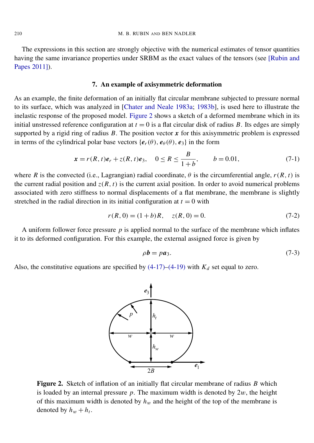The expressions in this section are strongly objective with the numerical estimates of tensor quantities having the same invariance properties under SRBM as the exact values of the tensors (see [\[Rubin and](#page-19-15) [Papes 2011\]](#page-19-15)).

#### 7. An example of axisymmetric deformation

<span id="page-14-0"></span>As an example, the finite deformation of an initially flat circular membrane subjected to pressure normal to its surface, which was analyzed in [\[Chater and Neale 1983a;](#page-18-2) [1983b\]](#page-18-3), is used here to illustrate the inelastic response of the proposed model. [Figure 2](#page-14-1) shows a sketch of a deformed membrane which in its initial unstressed reference configuration at  $t = 0$  is a flat circular disk of radius *B*. Its edges are simply supported by a rigid ring of radius  $B$ . The position vector  $x$  for this axisymmetric problem is expressed in terms of the cylindrical polar base vectors { $e_r(\theta)$ ,  $e_{\theta}(\theta)$ ,  $e_3$ } in the form

$$
x = r(R, t)e_r + z(R, t)e_3
$$
,  $0 \le R \le \frac{B}{1+b}$ ,  $b = 0.01$ , (7-1)

where *R* is the convected (i.e., Lagrangian) radial coordinate,  $\theta$  is the circumferential angle,  $r(R, t)$  is the current radial position and  $z(R, t)$  is the current axial position. In order to avoid numerical problems associated with zero stiffness to normal displacements of a flat membrane, the membrane is slightly stretched in the radial direction in its initial configuration at  $t = 0$  with

$$
r(R, 0) = (1 + b)R, \quad z(R, 0) = 0. \tag{7-2}
$$

A uniform follower force pressure  $p$  is applied normal to the surface of the membrane which inflates it to its deformed configuration. For this example, the external assigned force is given by

$$
\rho b = p a_3. \tag{7-3}
$$

<span id="page-14-1"></span>Also, the constitutive equations are specified by  $(4-17)$ – $(4-19)$  with  $K_d$  set equal to zero.



Figure 2. Sketch of inflation of an initially flat circular membrane of radius *B* which is loaded by an internal pressure  $p$ . The maximum width is denoted by  $2w$ , the height of this maximum width is denoted by  $h_w$  and the height of the top of the membrane is denoted by  $h_w + h_t$ .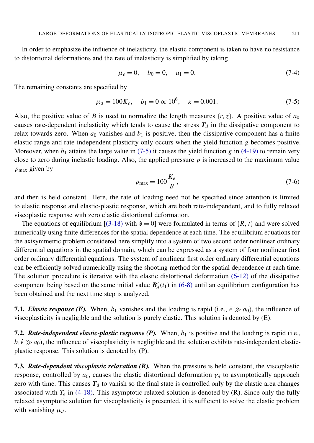In order to emphasize the influence of inelasticity, the elastic component is taken to have no resistance to distortional deformations and the rate of inelasticity is simplified by taking

<span id="page-15-0"></span>
$$
\mu_e = 0, \quad b_0 = 0, \quad a_1 = 0. \tag{7-4}
$$

The remaining constants are specified by

$$
\mu_d = 100K_e, \quad b_1 = 0 \text{ or } 10^6, \quad \kappa = 0.001. \tag{7-5}
$$

Also, the positive value of *B* is used to normalize the length measures  $\{r, z\}$ . A positive value of  $a_0$ causes rate-dependent inelasticity which tends to cause the stress  $T_d$  in the dissipative component to relax towards zero. When  $a_0$  vanishes and  $b_1$  is positive, then the dissipative component has a finite elastic range and rate-independent plasticity only occurs when the yield function *g* becomes positive. Moreover, when  $b_1$  attains the large value in [\(7-5\)](#page-15-0) it causes the yield function  $g$  in [\(4-19\)](#page-9-2) to remain very close to zero during inelastic loading. Also, the applied pressure  $p$  is increased to the maximum value *p*max given by

$$
p_{\text{max}} = 100 \frac{K_e}{B},\tag{7-6}
$$

and then is held constant. Here, the rate of loading need not be specified since attention is limited to elastic response and elastic-plastic response, which are both rate-independent, and to fully relaxed viscoplastic response with zero elastic distortional deformation.

The equations of equilibrium  $[(3-18)$  with  $\dot{v} = 0$ ] were formulated in terms of  $\{R, t\}$  and were solved numerically using finite differences for the spatial dependence at each time. The equilibrium equations for the axisymmetric problem considered here simplify into a system of two second order nonlinear ordinary differential equations in the spatial domain, which can be expressed as a system of four nonlinear first order ordinary differential equations. The system of nonlinear first order ordinary differential equations can be efficiently solved numerically using the shooting method for the spatial dependence at each time. The solution procedure is iterative with the elastic distortional deformation [\(6-12\)](#page-12-3) of the dissipative component being based on the same initial value  $B_d$  $d_d(t_1)$  in [\(6-8\)](#page-11-5) until an equilibrium configuration has been obtained and the next time step is analyzed.

7.1. *Elastic response (E).* When,  $b_1$  vanishes and the loading is rapid (i.e.,  $\epsilon \gg a_0$ ), the influence of viscoplasticity is negligible and the solution is purely elastic. This solution is denoted by (E).

7.2. *Rate-independent elastic-plastic response (P)*. When,  $b_1$  is positive and the loading is rapid (i.e.,  $b_1 \dot{\epsilon} \gg a_0$ ), the influence of viscoplasticity is negligible and the solution exhibits rate-independent elasticplastic response. This solution is denoted by (P).

7.3. *Rate-dependent viscoplastic relaxation (R).* When the pressure is held constant, the viscoplastic response, controlled by  $a_0$ , causes the elastic distortional deformation  $\gamma_d$  to asymptotically approach zero with time. This causes  $T_d$  to vanish so the final state is controlled only by the elastic area changes associated with  $T_e$  in [\(4-18\).](#page-9-3) This asymptotic relaxed solution is denoted by (R). Since only the fully relaxed asymptotic solution for viscoplasticity is presented, it is sufficient to solve the elastic problem with vanishing  $\mu_d$ .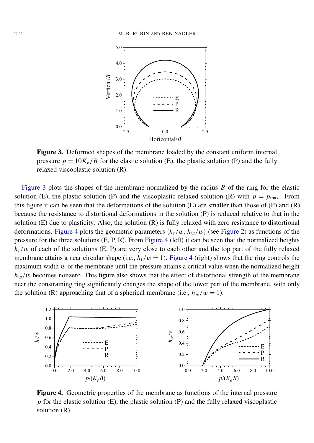<span id="page-16-0"></span>

Figure 3. Deformed shapes of the membrane loaded by the constant uniform internal pressure  $p = 10K_e/B$  for the elastic solution (E), the plastic solution (P) and the fully relaxed viscoplastic solution (R).

[Figure 3](#page-16-0) plots the shapes of the membrane normalized by the radius *B* of the ring for the elastic solution (E), the plastic solution (P) and the viscoplastic relaxed solution (R) with  $p = p_{\text{max}}$ . From this figure it can be seen that the deformations of the solution  $(E)$  are smaller than those of  $(P)$  and  $(R)$ because the resistance to distortional deformations in the solution (P) is reduced relative to that in the solution (E) due to plasticity. Also, the solution (R) is fully relaxed with zero resistance to distortional deformations. [Figure 4](#page-16-1) plots the geometric parameters  $\{h_t/w, h_w/w\}$  (see [Figure 2\)](#page-14-1) as functions of the pressure for the three solutions (E, P, R). From [Figure 4](#page-16-1) (left) it can be seen that the normalized heights  $h_t/w$  of each of the solutions (E, P) are very close to each other and the top part of the fully relaxed membrane attains a near circular shape (i.e.,  $h_t/w = 1$ ). [Figure 4](#page-16-1) (right) shows that the ring controls the maximum width  $w$  of the membrane until the pressure attains a critical value when the normalized height  $h_w/w$  becomes nonzero. This figure also shows that the effect of distortional strength of the membrane near the constraining ring significantly changes the shape of the lower part of the membrane, with only the solution (R) approaching that of a spherical membrane (i.e.,  $h_w/w = 1$ ).

<span id="page-16-1"></span>

Figure 4. Geometric properties of the membrane as functions of the internal pressure *p* for the elastic solution (E), the plastic solution (P) and the fully relaxed viscoplastic solution (R).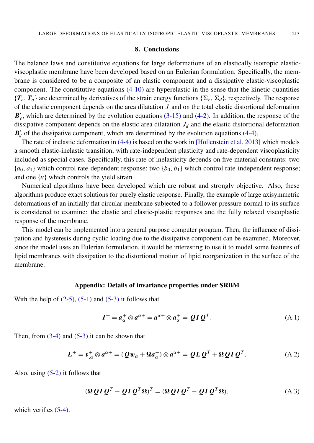#### 8. Conclusions

<span id="page-17-0"></span>The balance laws and constitutive equations for large deformations of an elastically isotropic elasticviscoplastic membrane have been developed based on an Eulerian formulation. Specifically, the membrane is considered to be a composite of an elastic component and a dissipative elastic-viscoplastic component. The constitutive equations [\(4-10\)](#page-8-1) are hyperelastic in the sense that the kinetic quantities  ${T_e, T_d}$  are determined by derivatives of the strain energy functions  $\{\Sigma_e, \Sigma_d\}$ , respectively. The response of the elastic component depends on the area dilatation *J* and on the total elastic distortional deformation  $\boldsymbol{B}'_e$  $e'$ , which are determined by the evolution equations  $(3-15)$  and  $(4-2)$ . In addition, the response of the dissipative component depends on the elastic area dilatation  $J_d$  and the elastic distortional deformation  $B'_{d}$  $d'$  of the dissipative component, which are determined by the evolution equations [\(4-4\).](#page-7-0)

The rate of inelastic deformation in [\(4-4\)](#page-7-0) is based on the work in [\[Hollenstein et al. 2013\]](#page-19-13) which models a smooth elastic-inelastic transition, with rate-independent plasticity and rate-dependent viscoplasticity included as special cases. Specifically, this rate of inelasticity depends on five material constants: two  ${a_0, a_1}$  which control rate-dependent response; two  ${b_0, b_1}$  which control rate-independent response; and one  $\{\kappa\}$  which controls the yield strain.

Numerical algorithms have been developed which are robust and strongly objective. Also, these algorithms produce exact solutions for purely elastic response. Finally, the example of large axisymmetric deformations of an initially flat circular membrane subjected to a follower pressure normal to its surface is considered to examine: the elastic and elastic-plastic responses and the fully relaxed viscoplastic response of the membrane.

This model can be implemented into a general purpose computer program. Then, the influence of dissipation and hysteresis during cyclic loading due to the dissipative component can be examined. Moreover, since the model uses an Eulerian formulation, it would be interesting to use it to model some features of lipid membranes with dissipation to the distortional motion of lipid reorganization in the surface of the membrane.

#### Appendix: Details of invariance properties under SRBM

<span id="page-17-1"></span>With the help of  $(2-5)$ ,  $(5-1)$  and  $(5-3)$  it follows that

<span id="page-17-2"></span>
$$
I^{+} = a_{\alpha}^{+} \otimes a^{\alpha+} = a^{\alpha+} \otimes a_{\alpha}^{+} = QI Q^{T}.
$$
 (A.1)

Then, from  $(3-4)$  and  $(5-3)$  it can be shown that

$$
L^{+} = v_{,\alpha}^{+} \otimes a^{\alpha+} = (Q w_{\alpha} + \Omega a_{\alpha}^{+}) \otimes a^{\alpha+} = Q L Q^{T} + \Omega Q I Q^{T}.
$$
 (A.2)

Also, using [\(5-2\)](#page-10-5) it follows that

$$
(\mathbf{\Omega} \mathbf{Q} \mathbf{I} \mathbf{Q}^T - \mathbf{Q} \mathbf{I} \mathbf{Q}^T \mathbf{\Omega})^T = (\mathbf{\Omega} \mathbf{Q} \mathbf{I} \mathbf{Q}^T - \mathbf{Q} \mathbf{I} \mathbf{Q}^T \mathbf{\Omega}),
$$
\n(A.3)

which verifies  $(5-4)$ .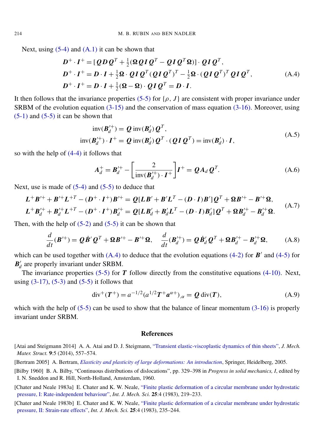Next, using  $(5-4)$  and  $(A,1)$  it can be shown that

<span id="page-18-5"></span>
$$
D^+ \cdot I^+ = [\mathcal{Q}D\mathcal{Q}^T + \frac{1}{2}(\mathbf{\Omega}\mathcal{Q}I\mathcal{Q}^T - \mathcal{Q}I\mathcal{Q}^T\mathbf{\Omega})] \cdot \mathcal{Q}I\mathcal{Q}^T,
$$
  
\n
$$
D^+ \cdot I^+ = D \cdot I + \frac{1}{2}\mathbf{\Omega} \cdot \mathcal{Q}I\mathcal{Q}^T(\mathcal{Q}I\mathcal{Q}^T)^T - \frac{1}{2}\mathbf{\Omega} \cdot (\mathcal{Q}I\mathcal{Q}^T)^T\mathcal{Q}I\mathcal{Q}^T,
$$
  
\n
$$
D^+ \cdot I^+ = D \cdot I + \frac{1}{2}(\mathbf{\Omega} - \mathbf{\Omega}) \cdot \mathcal{Q}I\mathcal{Q}^T = D \cdot I.
$$
\n(A.4)

It then follows that the invariance properties [\(5-5\)](#page-10-7) for  $\{\rho, J\}$  are consistent with proper invariance under SRBM of the evolution equation [\(3-15\)](#page-5-2) and the conservation of mass equation [\(3-16\).](#page-6-1) Moreover, using  $(5-1)$  and  $(5-5)$  it can be shown that

$$
\text{inv}(\boldsymbol{B}'_d^+) = \boldsymbol{Q} \text{ inv}(\boldsymbol{B}'_d) \boldsymbol{Q}^T,
$$
  
\n
$$
\text{inv}(\boldsymbol{B}'_d^+) \cdot \boldsymbol{I}^+ = \boldsymbol{Q} \text{ inv}(\boldsymbol{B}'_d) \boldsymbol{Q}^T \cdot (\boldsymbol{Q} \boldsymbol{I} \boldsymbol{Q}^T) = \text{inv}(\boldsymbol{B}'_d) \cdot \boldsymbol{I},
$$
\n(A.5)

so with the help of [\(4-4\)](#page-7-0) it follows that

$$
\mathbf{A}_d^+ = \mathbf{B}_d^{\prime +} - \left[ \frac{2}{\text{inv}(\mathbf{B}_d^{\prime +}) \cdot \mathbf{I}^+} \right] \mathbf{I}^+ = \mathbf{Q} \mathbf{A}_d \mathbf{Q}^T. \tag{A.6}
$$

Next, use is made of  $(5-4)$  and  $(5-5)$  to deduce that

$$
L^+B'^+ + B'^+L^{+T} - (D^+ \cdot I^+)B'^+ = Q[LB' + B'L^T - (D \cdot I)B']Q^T + \Omega B'^+ - B'^+ \Omega,
$$
  

$$
L^+B'^+_d + B'^+_dL^{+T} - (D^+ \cdot I^+)B'^+_d = Q[LB'_d + B'_dL^T - (D \cdot I)B'_d]Q^T + \Omega B'^+_d - B'^+_d \Omega.
$$
 (A.7)

Then, with the help of  $(5-2)$  and  $(5-5)$  it can be shown that

$$
\frac{d}{dt}(\boldsymbol{B}'^{+}) = \boldsymbol{Q}\dot{\boldsymbol{B}}'\boldsymbol{Q}^{T} + \boldsymbol{\Omega}\boldsymbol{B}'^{+} - \boldsymbol{B}'^{+}\boldsymbol{\Omega}, \quad \frac{d}{dt}(\boldsymbol{B}'^{+}_{d}) = \boldsymbol{Q}\dot{\boldsymbol{B}}'_{d}\boldsymbol{Q}^{T} + \boldsymbol{\Omega}\boldsymbol{B}'^{+}_{d} - \boldsymbol{B}'^{+}_{d}\boldsymbol{\Omega}, \tag{A.8}
$$

which can be used together with  $(A.4)$  to deduce that the evolution equations  $(4-2)$  for  $\mathbf{B}'$  and  $(4-5)$  for  $B'_{d}$  $d'$  are properly invariant under SRBM.

The invariance properties [\(5-5\)](#page-10-7) for *T* follow directly from the constitutive equations [\(4-10\).](#page-8-1) Next, using  $(3-17)$ ,  $(5-3)$  and  $(5-5)$  it follows that

$$
\operatorname{div}^{+}(T^{+}) = a^{-1/2} (a^{1/2} T^{+} a^{\alpha +})_{,\alpha} = Q \operatorname{div}(T), \tag{A.9}
$$

which with the help of  $(5-5)$  can be used to show that the balance of linear momentum  $(3-16)$  is properly invariant under SRBM.

#### **References**

- <span id="page-18-2"></span>[Chater and Neale 1983a] E. Chater and K. W. Neale, ["Finite plastic deformation of a circular membrane under hydrostatic](http://dx.doi.org/10.1016/0020-7403(83)90026-7) [pressure, I: Rate-independent behaviour",](http://dx.doi.org/10.1016/0020-7403(83)90026-7) *Int. J. Mech. Sci.* 25:4 (1983), 219–233.
- <span id="page-18-3"></span>[Chater and Neale 1983b] E. Chater and K. W. Neale, ["Finite plastic deformation of a circular membrane under hydrostatic](http://dx.doi.org/10.1016/0020-7403(83)90027-9) [pressure, II: Strain-rate effects",](http://dx.doi.org/10.1016/0020-7403(83)90027-9) *Int. J. Mech. Sci.* 25:4 (1983), 235–244.

<span id="page-18-4"></span><sup>[</sup>Atai and Steigmann 2014] A. A. Atai and D. J. Steigmann, ["Transient elastic-viscoplastic dynamics of thin sheets",](http://dx.doi.org/10.2140/jomms.2014.9.557) *J. Mech. Mater. Struct.* 9:5 (2014), 557–574.

<span id="page-18-0"></span><sup>[</sup>Bertram 2005] A. Bertram, *[Elasticity and plasticity of large deformations: An introduction](http://dx.doi.org/10.1007/978-3-642-24615-9)*, Springer, Heidelberg, 2005.

<span id="page-18-1"></span><sup>[</sup>Bilby 1960] B. A. Bilby, "Continuous distributions of dislocations", pp. 329–398 in *Progress in solid mechanics, I*, edited by I. N. Sneddon and R. Hill, North-Holland, Amsterdam, 1960.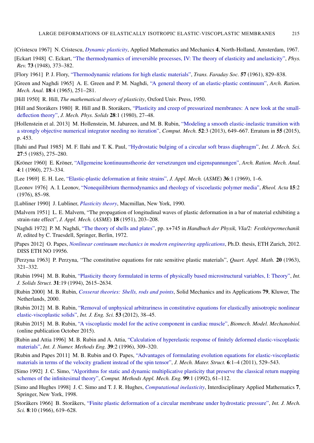<span id="page-19-9"></span><span id="page-19-3"></span>[Cristescu 1967] N. Cristescu, *[Dynamic plasticity](http://dx.doi.org/10.1142/9789812707604)*, Applied Mathematics and Mechanics 4, North-Holland, Amsterdam, 1967. [Eckart 1948] C. Eckart, ["The thermodynamics of irreversible processes, IV: The theory of elasticity and anelasticity",](http://dx.doi.org/10.1103/PhysRev.73.373) *Phys. Rev.* 73 (1948), 373–382.

- <span id="page-19-20"></span>[Flory 1961] P. J. Flory, ["Thermodynamic relations for high elastic materials",](http://dx.doi.org/10.1039/TF9615700829) *Trans. Faraday Soc.* 57 (1961), 829–838.
- <span id="page-19-2"></span>[Green and Naghdi 1965] A. E. Green and P. M. Naghdi, ["A general theory of an elastic-plastic continuum",](http://dx.doi.org/10.1007/BF00251666) *Arch. Ration. Mech. Anal.* 18:4 (1965), 251–281.
- <span id="page-19-1"></span>[Hill 1950] R. Hill, *The mathematical theory of plasticity*, Oxford Univ. Press, 1950.
- <span id="page-19-16"></span>[Hill and Storakers 1980] R. Hill and B. Storakers, ["Plasticity and creep of pressurized membranes: A new look at the small](http://dx.doi.org/10.1016/0022-5096(80)90010-1)[deflection theory",](http://dx.doi.org/10.1016/0022-5096(80)90010-1) *J. Mech. Phys. Solids* 28:1 (1980), 27–48.
- <span id="page-19-13"></span>[Hollenstein et al. 2013] M. Hollenstein, M. Jabareen, and M. B. Rubin, ["Modeling a smooth elastic-inelastic transition with](http://dx.doi.org/10.1007/s00466-013-0838-7) [a strongly objective numerical integrator needing no iteration",](http://dx.doi.org/10.1007/s00466-013-0838-7) *Comput. Mech.* 52:3 (2013), 649–667. Erratum in 55 (2015), p. 453.
- <span id="page-19-18"></span>[Ilahi and Paul 1985] M. F. Ilahi and T. K. Paul, ["Hydrostatic bulging of a circular soft brass diaphragm",](http://dx.doi.org/10.1016/0020-7403(85)90017-7) *Int. J. Mech. Sci.* 27:5 (1985), 275–280.
- <span id="page-19-6"></span>[Kröner 1960] E. Kröner, ["Allgemeine kontinuumstheorie der versetzungen und eigenspannungen",](http://dx.doi.org/10.1007/BF00281393) *Arch. Ration. Mech. Anal.* 4:1 (1960), 273–334.
- <span id="page-19-4"></span>[Lee 1969] E. H. Lee, ["Elastic-plastic deformation at finite strains",](http://dx.doi.org/10.1115/1.3564580) *J. Appl. Mech.* (*ASME*) 36:1 (1969), 1–6.
- <span id="page-19-10"></span>[Leonov 1976] A. I. Leonov, ["Nonequilibrium thermodynamics and rheology of viscoelastic polymer media",](http://dx.doi.org/10.1007/BF01517499) *Rheol. Acta* 15:2 (1976), 85–98.
- <span id="page-19-5"></span>[Lubliner 1990] J. Lubliner, *[Plasticity theory](http://www.ewp.rpi.edu/hartford/~ernesto/F2008/MEF2/Z-Links/Papers/Lubliner.pdf)*, Macmillan, New York, 1990.
- <span id="page-19-7"></span>[Malvern 1951] L. E. Malvern, "The propagation of longitudinal waves of plastic deformation in a bar of material exhibiting a strain-rate effect", *J. Appl. Mech.* (*ASME*) 18 (1951), 203–208.
- <span id="page-19-0"></span>[Naghdi 1972] P. M. Naghdi, ["The theory of shells and plates",](http://dx.doi.org/10.1007/978-3-662-39776-3_5) pp. x+745 in *Handbuch der Physik, VIa/2: Festkörpermechanik II*, edited by C. Truesdell, Springer, Berlin, 1972.
- <span id="page-19-14"></span>[Papes 2012] O. Papes, *[Nonlinear continuum mechanics in modern engineering applications](http://dx.doi.org/10.3929/ethz-a-007139775)*, Ph.D. thesis, ETH Zurich, 2012. DISS ETH NO 19956.
- <span id="page-19-8"></span>[Perzyna 1963] P. Perzyna, "The constitutive equations for rate sensitive plastic materials", *Quart. Appl. Math.* 20 (1963), 321–332.
- <span id="page-19-11"></span>[Rubin 1994] M. B. Rubin, ["Plasticity theory formulated in terms of physically based microstructural variables, I: Theory",](http://dx.doi.org/10.1016/0020-7683(94)90222-4) *Int. J. Solids Struct.* 31:19 (1994), 2615–2634.
- <span id="page-19-19"></span>[Rubin 2000] M. B. Rubin, *[Cosserat theories: Shells, rods and points](http://dx.doi.org/10.1007/978-94-015-9379-3)*, Solid Mechanics and its Applications 79, Kluwer, The Netherlands, 2000.
- <span id="page-19-12"></span>[Rubin 2012] M. B. Rubin, ["Removal of unphysical arbitrariness in constitutive equations for elastically anisotropic nonlinear](http://dx.doi.org/10.1016/j.ijengsci.2011.12.008) [elastic-viscoplastic solids",](http://dx.doi.org/10.1016/j.ijengsci.2011.12.008) *Int. J. Eng. Sci.* 53 (2012), 38–45.
- <span id="page-19-21"></span>[Rubin 2015] M. B. Rubin, ["A viscoplastic model for the active component in cardiac muscle",](http://dx.doi.org/10.1007/s10237-015-0736-3) *Biomech. Model. Mechanobiol.* (online publication October 2015).
- <span id="page-19-22"></span>[Rubin and Attia 1996] M. B. Rubin and A. Attia, ["Calculation of hyperelastic response of finitely deformed elastic-viscoplastic](http://dx.doi.org/10.1002/(SICI)1097-0207(19960130)39:2<309::AID-NME858>3.0.CO;2-B) [materials",](http://dx.doi.org/10.1002/(SICI)1097-0207(19960130)39:2<309::AID-NME858>3.0.CO;2-B) *Int. J. Numer. Methods Eng.* 39:2 (1996), 309–320.
- <span id="page-19-15"></span>[Rubin and Papes 2011] M. B. Rubin and O. Papes, ["Advantages of formulating evolution equations for elastic-viscoplastic](http://dx.doi.org/10.2140/jomms.2011.6.529) [materials in terms of the velocity gradient instead of the spin tensor",](http://dx.doi.org/10.2140/jomms.2011.6.529) *J. Mech. Mater. Struct.* 6:1–4 (2011), 529–543.
- <span id="page-19-23"></span>[Simo 1992] J. C. Simo, ["Algorithms for static and dynamic multiplicative plasticity that preserve the classical return mapping](http://dx.doi.org/10.1016/0045-7825(92)90123-2) [schemes of the infinitesimal theory",](http://dx.doi.org/10.1016/0045-7825(92)90123-2) *Comput. Methods Appl. Mech. Eng.* 99:1 (1992), 61–112.
- <span id="page-19-24"></span>[Simo and Hughes 1998] J. C. Simo and T. J. R. Hughes, *[Computational inelasticity](http://dx.doi.org/10.1007/b98904)*, Interdisciplinary Applied Mathematics 7, Springer, New York, 1998.
- <span id="page-19-17"></span>[Storåkers 1966] B. Storåkers, ["Finite plastic deformation of a circular membrane under hydrostatic pressure",](http://dx.doi.org/10.1016/0020-7403(66)90040-3) *Int. J. Mech. Sci.* 8:10 (1966), 619–628.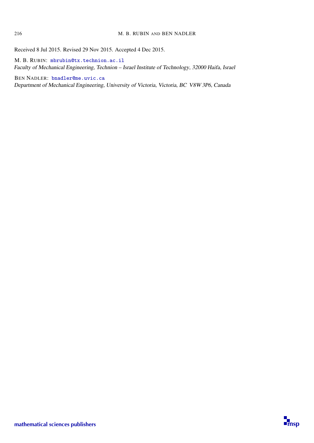Received 8 Jul 2015. Revised 29 Nov 2015. Accepted 4 Dec 2015.

M. B. RUBIN: [mbrubin@tx.technion.ac.il](mailto:mbrubin@tx.technion.ac.il) Faculty of Mechanical Engineering, Technion – Israel Institute of Technology, 32000 Haifa, Israel

BEN NADLER: [bnadler@me.uvic.ca](mailto:bnadler@me.uvic.ca) Department of Mechanical Engineering, University of Victoria, Victoria, BC V8W 3P6, Canada

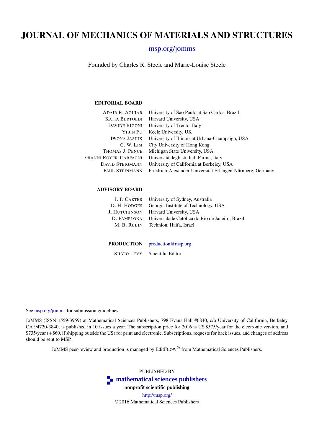## JOURNAL OF MECHANICS OF MATERIALS AND STRUCTURES

#### [msp.org/jomms](http://msp.org/jomms/)

Founded by Charles R. Steele and Marie-Louise Steele

#### EDITORIAL BOARD

| <b>ADAIR R. AGUIAR</b> | University of São Paulo at São Carlos, Brazil              |
|------------------------|------------------------------------------------------------|
| <b>KATIA BERTOLDI</b>  | Harvard University, USA                                    |
| <b>DAVIDE BIGONI</b>   | University of Trento, Italy                                |
| YIBIN FU               | Keele University, UK                                       |
| <b>IWONA JASIUK</b>    | University of Illinois at Urbana-Champaign, USA            |
| C. W. LIM              | City University of Hong Kong                               |
| THOMAS J. PENCE        | Michigan State University, USA                             |
| GIANNI ROYER-CARFAGNI  | Università degli studi di Parma, Italy                     |
| <b>DAVID STEIGMANN</b> | University of California at Berkeley, USA                  |
| PAUL STEINMANN         | Friedrich-Alexander-Universität Erlangen-Nürnberg, Germany |
|                        |                                                            |

#### ADVISORY BOARD

| J. P. CARTER University of Sydney, Australia                |
|-------------------------------------------------------------|
| D. H. HODGES Georgia Institute of Technology, USA           |
| J. HUTCHINSON Harvard University, USA                       |
| D. PAMPLONA Universidade Católica do Rio de Janeiro, Brazil |
| M. B. RUBIN Technion. Haifa. Israel                         |
|                                                             |

#### PRODUCTION [production@msp.org](mailto:production@msp.org)

SILVIO LEVY Scientific Editor

See [msp.org/jomms](http://msp.org/jomms/) for submission guidelines.

JoMMS (ISSN 1559-3959) at Mathematical Sciences Publishers, 798 Evans Hall #6840, c/o University of California, Berkeley, CA 94720-3840, is published in 10 issues a year. The subscription price for 2016 is US \$575/year for the electronic version, and \$735/year (+\$60, if shipping outside the US) for print and electronic. Subscriptions, requests for back issues, and changes of address should be sent to MSP.

JoMMS peer-review and production is managed by EditFLOW® from Mathematical Sciences Publishers.

PUBLISHED BY **T** [mathematical sciences publishers](http://msp.org/) nonprofit scientific publishing <http://msp.org/> © 2016 Mathematical Sciences Publishers